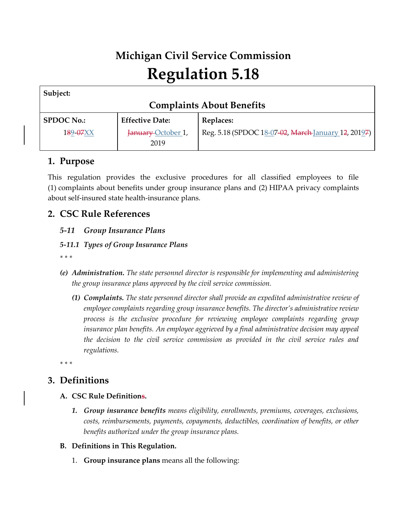# **Michigan Civil Service Commission Regulation 5.18**

| Subject:                         |                        |                                                     |  |
|----------------------------------|------------------------|-----------------------------------------------------|--|
| <b>Complaints About Benefits</b> |                        |                                                     |  |
| <b>SPDOC No.:</b>                | <b>Effective Date:</b> | <b>Replaces:</b>                                    |  |
| 189-07XX                         | January October 1,     | Reg. 5.18 (SPDOC 18-07-02, March January 12, 20197) |  |
|                                  | 2019                   |                                                     |  |

## **1. Purpose**

This regulation provides the exclusive procedures for all classified employees to file (1) complaints about benefits under group insurance plans and (2) HIPAA privacy complaints about self-insured state health-insurance plans.

## **2. CSC Rule References**

## *5-11 Group Insurance Plans*

### *5-11.1 Types of Group Insurance Plans*

*\* \* \**

- *(e) Administration. The state personnel director is responsible for implementing and administering the group insurance plans approved by the civil service commission.*
	- *(1) Complaints. The state personnel director shall provide an expedited administrative review of employee complaints regarding group insurance benefits. The director's administrative review process is the exclusive procedure for reviewing employee complaints regarding group insurance plan benefits. An employee aggrieved by a final administrative decision may appeal the decision to the civil service commission as provided in the civil service rules and regulations.*

*\* \* \**

## **3. Definitions**

### **A. CSC Rule Definitions.**

*1. Group insurance benefits means eligibility, enrollments, premiums, coverages, exclusions, costs, reimbursements, payments, copayments, deductibles, coordination of benefits, or other benefits authorized under the group insurance plans.*

### **B. Definitions in This Regulation.**

1. **Group insurance plans** means all the following: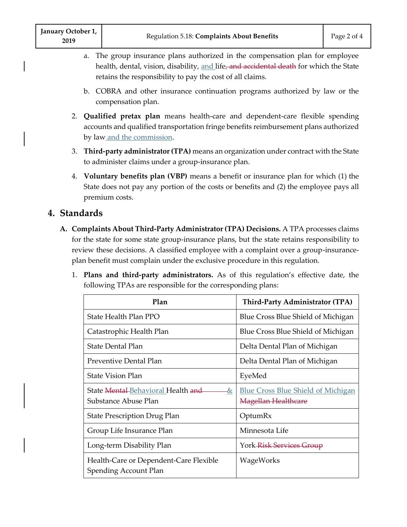- a. The group insurance plans authorized in the compensation plan for employee health, dental, vision, disability, and life, and accidental death for which the State retains the responsibility to pay the cost of all claims.
- b. COBRA and other insurance continuation programs authorized by law or the compensation plan.
- 2. **Qualified pretax plan** means health-care and dependent-care flexible spending accounts and qualified transportation fringe benefits reimbursement plans authorized by law <u>and the commission</u>.
- 3. **Third-party administrator (TPA)** means an organization under contract with the State to administer claims under a group-insurance plan.
- 4. **Voluntary benefits plan (VBP)** means a benefit or insurance plan for which (1) the State does not pay any portion of the costs or benefits and (2) the employee pays all premium costs.

## **4. Standards**

- **A. Complaints About Third-Party Administrator (TPA) Decisions.** A TPA processes claims for the state for some state group-insurance plans, but the state retains responsibility to review these decisions. A classified employee with a complaint over a group-insuranceplan benefit must complain under the exclusive procedure in this regulation.
	- 1. **Plans and third-party administrators.** As of this regulation's effective date, the following TPAs are responsible for the corresponding plans:

| Plan                                                                       | <b>Third-Party Administrator (TPA)</b>                                  |
|----------------------------------------------------------------------------|-------------------------------------------------------------------------|
| State Health Plan PPO                                                      | Blue Cross Blue Shield of Michigan                                      |
| Catastrophic Health Plan                                                   | Blue Cross Blue Shield of Michigan                                      |
| <b>State Dental Plan</b>                                                   | Delta Dental Plan of Michigan                                           |
| Preventive Dental Plan                                                     | Delta Dental Plan of Michigan                                           |
| State Vision Plan                                                          | EyeMed                                                                  |
| State Mental-Behavioral Health and<br><u>&amp;</u><br>Substance Abuse Plan | <b>Blue Cross Blue Shield of Michigan</b><br><b>Magellan Healthcare</b> |
| <b>State Prescription Drug Plan</b>                                        | OptumRx                                                                 |
| Group Life Insurance Plan                                                  | Minnesota Life                                                          |
| Long-term Disability Plan                                                  | York <del>-Risk-Services-Group</del>                                    |
| Health-Care or Dependent-Care Flexible<br><b>Spending Account Plan</b>     | WageWorks                                                               |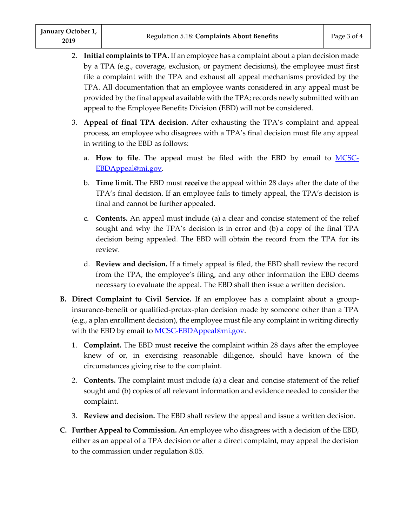- 2. **Initial complaints to TPA.** If an employee has a complaint about a plan decision made by a TPA (e.g., coverage, exclusion, or payment decisions), the employee must first file a complaint with the TPA and exhaust all appeal mechanisms provided by the TPA. All documentation that an employee wants considered in any appeal must be provided by the final appeal available with the TPA; records newly submitted with an appeal to the Employee Benefits Division (EBD) will not be considered.
- 3. **Appeal of final TPA decision.** After exhausting the TPA's complaint and appeal process, an employee who disagrees with a TPA's final decision must file any appeal in writing to the EBD as follows:
	- a. **How to file**. The appeal must be filed with the EBD by email to [MCSC-](mailto:MCSC-EBDAppeal@mi.gov)[EBDAppeal@mi.gov.](mailto:MCSC-EBDAppeal@mi.gov)
	- b. **Time limit.** The EBD must **receive** the appeal within 28 days after the date of the TPA's final decision. If an employee fails to timely appeal, the TPA's decision is final and cannot be further appealed.
	- c. **Contents.** An appeal must include (a) a clear and concise statement of the relief sought and why the TPA's decision is in error and (b) a copy of the final TPA decision being appealed. The EBD will obtain the record from the TPA for its review.
	- d. **Review and decision.** If a timely appeal is filed, the EBD shall review the record from the TPA, the employee's filing, and any other information the EBD deems necessary to evaluate the appeal. The EBD shall then issue a written decision.
- **B. Direct Complaint to Civil Service.** If an employee has a complaint about a groupinsurance-benefit or qualified-pretax-plan decision made by someone other than a TPA (e.g., a plan enrollment decision), the employee must file any complaint in writing directly with the EBD by email to **MCSC-EBDAppeal@mi.gov.** 
	- 1. **Complaint.** The EBD must **receive** the complaint within 28 days after the employee knew of or, in exercising reasonable diligence, should have known of the circumstances giving rise to the complaint.
	- 2. **Contents.** The complaint must include (a) a clear and concise statement of the relief sought and (b) copies of all relevant information and evidence needed to consider the complaint.
	- 3. **Review and decision.** The EBD shall review the appeal and issue a written decision.
- **C. Further Appeal to Commission.** An employee who disagrees with a decision of the EBD, either as an appeal of a TPA decision or after a direct complaint, may appeal the decision to the commission under regulation 8.05.